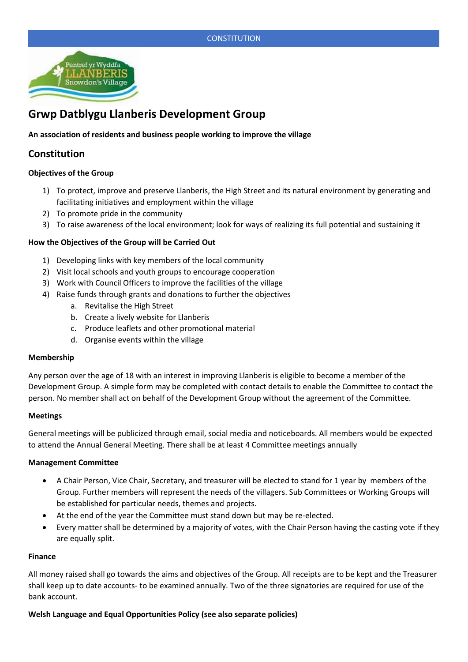# **CONSTITUTION**



# **Grwp Datblygu Llanberis Development Group**

### **An association of residents and business people working to improve the village**

# **Constitution**

#### **Objectives of the Group**

- 1) To protect, improve and preserve Llanberis, the High Street and its natural environment by generating and facilitating initiatives and employment within the village
- 2) To promote pride in the community
- 3) To raise awareness of the local environment; look for ways of realizing its full potential and sustaining it

#### **How the Objectives of the Group will be Carried Out**

- 1) Developing links with key members of the local community
- 2) Visit local schools and youth groups to encourage cooperation
- 3) Work with Council Officers to improve the facilities of the village
- 4) Raise funds through grants and donations to further the objectives
	- a. Revitalise the High Street
	- b. Create a lively website for Llanberis
	- c. Produce leaflets and other promotional material
	- d. Organise events within the village

#### **Membership**

Any person over the age of 18 with an interest in improving Llanberis is eligible to become a member of the Development Group. A simple form may be completed with contact details to enable the Committee to contact the person. No member shall act on behalf of the Development Group without the agreement of the Committee.

#### **Meetings**

General meetings will be publicized through email, social media and noticeboards. All members would be expected to attend the Annual General Meeting. There shall be at least 4 Committee meetings annually

#### **Management Committee**

- A Chair Person, Vice Chair, Secretary, and treasurer will be elected to stand for 1 year by members of the Group. Further members will represent the needs of the villagers. Sub Committees or Working Groups will be established for particular needs, themes and projects.
- At the end of the year the Committee must stand down but may be re-elected.
- Every matter shall be determined by a majority of votes, with the Chair Person having the casting vote if they are equally split.

#### **Finance**

All money raised shall go towards the aims and objectives of the Group. All receipts are to be kept and the Treasurer shall keep up to date accounts- to be examined annually. Two of the three signatories are required for use of the bank account.

#### **Welsh Language and Equal Opportunities Policy (see also separate policies)**